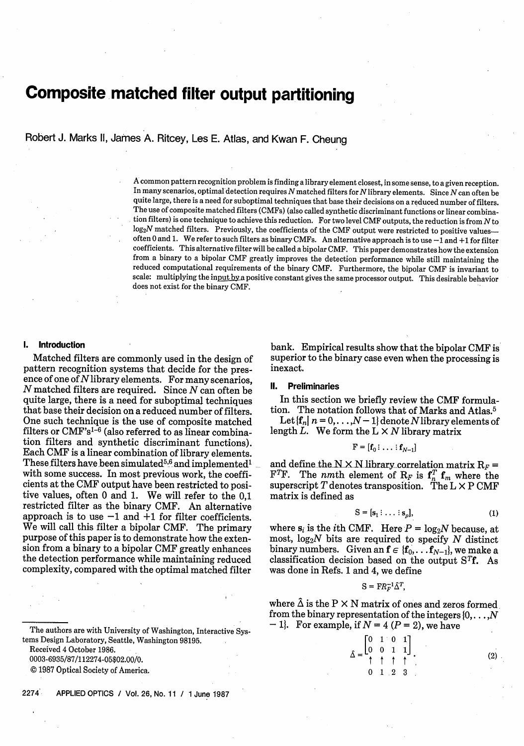# **Composite matched filter output partitioning**

Robert J. Marks II, James A. Ritcey, Les E. Atlas, and Kwan F. Cheung

A common pattern recognition problem is finding a library element closest, in some sense, to a given reception. In many scenarios, optimal detection requires  $N$  matched filters for  $N$  library elements. Since  $N$  can often be quite large, there is a need for suboptimal techniques that base their decisions on a reduced number of filters. The use of composite matched filters (CMFs) (also called synthetic discriminant functions or linear combination filters) is one technique to achieve this reduction. For two level CMF outputs, the reduction is from Nto log<sub>2</sub>N matched filters. Previously, the coefficients of the CMF output were restricted to positive valuesoften 0 and 1. We refer to such filters as binary CMFs. An alternative approach is to use  $-1$  and  $+1$  for filter coefficients. This alternative filter will be called a bipolar CMF. This paper demonstrates how the extension from a binary to a bipolar CMF greatly improves the detection performance while still maintaining the reduced computational requirements of the binary CMF. Furthermore, the bipolar CMF is invariant to scale: multiplying the input by a positive constant gives the same processor output. This desirable behavior does not exist for the binary CMF.

# 1. **Introduction**

Matched filters are commonly used in the design of pattern recognition systems that decide for the presence of one of  $N$  library elements. For many scenarios,  $N$  matched filters are required. Since  $N$  can often be quite large, there is a need for suboptimal techniques that base their decision on a reduced number of filters. One such technique is the use of composite matched filters or CMF'sl-6 (also referred to as linear combination filters and synthetic discriminant functions). Each CMF is a linear combination of library elements. These filters have been simulated<sup>5,6</sup> and implemented<sup>1</sup> with some success. In most previous work, the coefficients at the CMF output have been restricted to positive values, often 0 and 1. We will refer to the 0,1 restricted filter as the binary CMF. An alternative approach is to use  $-1$  and  $+1$  for filter coefficients. We will call this filter a bipolar CMF. The primary purpose of this paper is to demonstrate how the extension from a binary to a bipolar CMF greatly enhances the detection performance while maintaining reduced complexity, compared with the optimal matched filter

Received 4 October 1986.

0003-6935/87/112274-05\$02.00/0.

© 1987 Optical Society of America.

2274 APPLIED OPTICS / Vol. 26, No. 11 / 1 June 1987

bank. Empirical results show that the bipolar CMF is superior to the binary case even when the processing is inexact.

#### II. **Preliminaries**

In this section we briefly review the CMF formulation. The notation follows that of Marks and Atlas.<sup>5</sup>

Let  $\{f_n \mid n = 0, \ldots, N-1\}$  denote N library elements of length L. We form the  $L \times N$  library matrix

$$
\mathbf{F} = [\mathbf{f}_0: \dots: \mathbf{f}_{N-1}]
$$

and define the N  $\times$  N library correlation matrix R<sub>F</sub> = F<sup>T</sup>F. The *nmth* element of  $R_F$  is  $f_n^T f_m$  where the superscript  $T$  denotes transposition. The  $L \times P$  CMF matrix is defined as

$$
S = [s_1 : \dots : s_p], \tag{1}
$$

where  $s_i$  is the *i*th CMF. Here  $P = \log_2 N$  because, at most,  $log_2N$  bits are required to specify N distinct binary numbers. Given an  $f \in \{f_0, \ldots, f_{N-1}\}\)$ , we make a classification decision based on the output  $S<sup>T</sup>f$ . As was done in Refs. 1 and 4, we define

$$
S = FR_F^{-1} \hat{\Delta}^T,
$$

where  $\tilde{\Delta}$  is the P  $\times$  N matrix of ones and zeros formed from the binary representation of the integers  $\{0, \ldots, N\}$  $- 1$ . For example, if  $N = 4 (P = 2)$ , we have

> $[0 \ 1]$  $\begin{bmatrix} 0 & 0 & 1 & 1 \end{bmatrix}$ t t t t  $0 \quad 1 \quad 2$ (2)

The authors are with University of Washington, Interactive Systems Design Laboratory, Seattle, Washington 98195.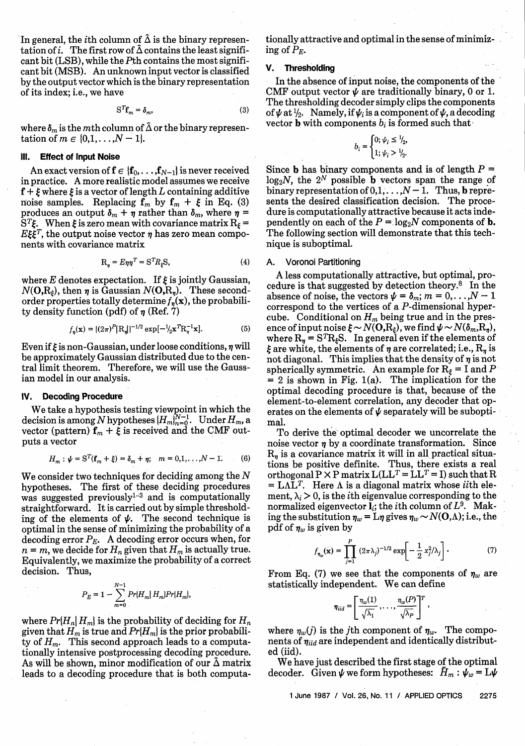In general, the *i*th column of  $\hat{\Delta}$  is the binary representation of i. The first row of  $\hat{\Delta}$  contains the least significant bit (LSB), while the Pth contains the most significant bit (MSB). An unknown input vector is classified by the output vector which is the binary representation of its index; i.e., we have

$$
S^T f_m = \delta_m, \tag{3}
$$

where  $\delta_m$  is the *m*th column of  $\hat{\Delta}$  or the binary representation of  $m \in \{0, 1, ..., N-1\}$ .

## **Ill. Effect of Input Noise**

An exact version of  $f \in \{f_0, \ldots, f_{N-1}\}\$  is never received in practice. A more realistic model assumes we receive  $f + \xi$  where  $\xi$  is a vector of length L containing additive noise samples. Replacing  $f_m$  by  $f_m + \xi$  in Eq. (3) produces an output  $\delta_m + \eta$  rather than  $\delta_m$ , where  $\eta$  =  $\mathrm{S}^{T}\xi$ . When  $\xi$  is zero mean with covariance matrix  $\mathrm{R}_{\xi}=$  $E\xi\xi^T$ , the output noise vector  $\eta$  has zero mean components with covariance matrix

$$
R_n = E\eta \eta^T = S^T R_\xi S,\tag{4}
$$

where E denotes expectation. If  $\xi$  is jointly Gaussian,  $N(O, R_t)$ , then  $\eta$  is Gaussian  $N(O, R_n)$ . These secondorder properties totally determine  $f_n(\mathbf{x})$ , the probability density function (pdf) of  $\eta$  (Ref. 7)

$$
f_{\eta}(\mathbf{x}) = \{ (2\pi)^P |\mathbf{R}_{\eta}| \}^{-1/2} \exp[-\frac{1}{2}\mathbf{x}^T \mathbf{R}_{\eta}^{-1} \mathbf{x}].
$$
 (5)

Even if  $\xi$  is non-Gaussian, under loose conditions,  $\eta$  will be approximately Gaussian distributed due to the central limit theorem. Therefore, we will use the Gaussian model in our analysis.

#### **IV. Decoding Procedure**

We take a hypothesis testing viewpoint in which the decision is among N hypotheses  $\{H_m\}_{m=0}^{N-1}$ . Under  $H_m$ , a vector (pattern)  $f_m + \xi$  is received and the CMF outputs a vector

$$
H_m: \psi = \mathbf{S}^T(\mathbf{f}_m + \xi) = \delta_m + \eta; \quad m = 0, 1, \dots, N - 1. \tag{6}
$$

We consider two techniques for deciding among the N hypotheses. The first of these deciding procedures was suggested previously $1-3$  and is computationally straightforward. It is carried out by simple thresholding of the elements of  $\psi$ . The second technique is optimal in the sense of minimizing the probability of a decoding error *PE.* A decoding error occurs when, for  $n = m$ , we decide for  $H_n$  given that  $H_m$  is actually true. Equivalently, we maximize the probability of a correct decision. Thus,

$$
P_E = 1 - \sum_{m=0}^{N-1} Pr\{H_m\} H_m\} Pr\{H_m\},
$$

where  $Pr{H_n | H_m}$  is the probability of deciding for  $H_n$ given that  $H_m$  is true and  $Pr{H_m}$  is the prior probability of *Hm.* This second approach leads to a computationally intensive postprocessing decoding procedure. As will be shown, minor modification of our  $\tilde{\Delta}$  matrix leads to a decoding procedure that is both computationally attractive and optimal in the sense of minimizing of *PE.*

### V. **Thresholding**

In the absence of input noise, the components of the CMF output vector  $\psi$  are traditionally binary, 0 or 1. The thresholding decoder simply clips the components of  $\psi$  at  $\frac{1}{2}$ . Namely, if  $\psi_i$  is a component of  $\psi$ , a decoding vector **b** with components  $b_i$  is formed such that

$$
b_i = \begin{cases} 0; \psi_i \le \frac{1}{2}, \\ 1; \psi_i > \frac{1}{2}. \end{cases}
$$

Since **b** has binary components and is of length  $P =$  $log_2N$ , the  $2^N$  possible **b** vectors span the range of binary representation of  $0,1,\ldots,N-1$ . Thus, b represents the desired classification decision. The procedure is computationally attractive because it acts independently on each of the  $P = \log_2 N$  components of **b.** The following section will demonstrate that this technique is suboptimal.

#### **A.** Voronoi Partitioning

A less computationally attractive, but optimal, procedure is that suggested by detection theory.8 In the absence of noise, the vectors  $\psi = \delta_m$ ;  $m = 0, \ldots, N - 1$ correspond to the vertices of a P-dimensional hypercube. Conditional on  $H_m$  being true and in the presence of input noise  $\xi \sim N(\mathbf{O}, \mathbf{R}_\xi)$ , we find  $\psi \sim N(\delta_m, \mathbf{R}_\eta)$ , where  $R_{\eta} = S^{T}R_{\xi}S$ . In general even if the elements of  $\xi$  are white, the elements of  $\eta$  are correlated; i.e.,  $R_n$  is not diagonal. This implies that the density of  $\eta$  is not spherically symmetric. An example for  $R_f = I$  and  $P = 2$  is shown in Fig. 1(a). The implication for the optimal decoding procedure is that, because of the element-to-element correlation, any decoder that operates on the elements of  $\psi$  separately will be suboptimal.

To derive the optimal decoder we uncorrelate the noise vector  $\eta$  by a coordinate transformation. Since  $R_n$  is a covariance matrix it will in all practical situations be positive definite. Thus, there exists a real orthogonal  $P \times P$  matrix  $L(LL^T = LL^T = I)$  such that R  $= L\Lambda L^{T}$ . Here  $\Lambda$  is a diagonal matrix whose *ii*th element,  $\lambda_i > 0$ , is the *i*th eigenvalue corresponding to the normalized eigenvector  $\mathbf{l}_i$ ; the *i*th column of  $L^9$ . Making the substitution  $\eta_w = L\eta$  gives  $\eta_w \sim N(\mathbf{O}, \Lambda)$ ; i.e., the pdf of  $\eta_w$  is given by

$$
f_{\eta_{w}}(\mathbf{x}) = \prod_{j=1}^{P} (2\pi\lambda_{j})^{-1/2} \exp \left[-\frac{1}{2}x_{j}^{2}/\lambda_{j}\right].
$$
 (7)

From Eq. (7) we see that the components of  $\eta_w$  are statistically independent. We can define

$$
\eta_{iid} = \left[ \frac{\eta_w(1)}{\sqrt{\lambda_1}}, \ldots, \frac{\eta_w(P)}{\sqrt{\lambda_P}} \right]^T,
$$

where  $\eta_w(j)$  is the *j*th component of  $\eta_w$ . The components of *Miid* are independent and identically distributed (iid).

We have just described the first stage of the optimal decoder. Given  $\psi$  we form hypotheses:  $\bar{H}_m$ :  $\psi_w = L\psi$ 

1 June 1987 / Vol. 26, No. 11 / APPLIED OPTICS 2275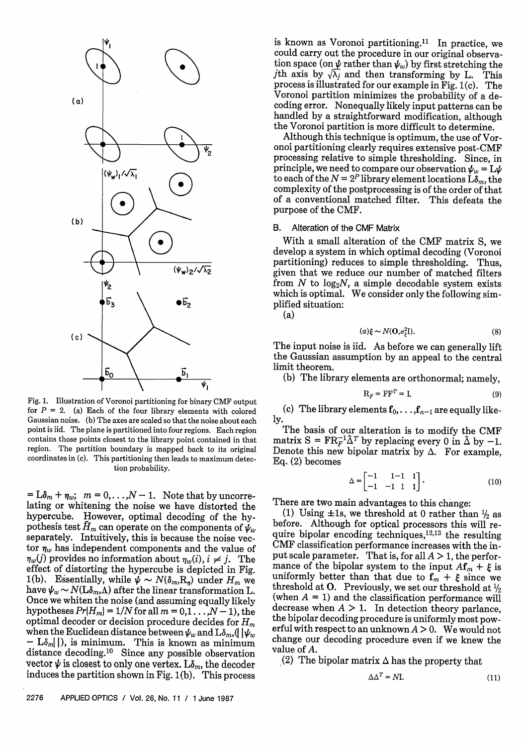

Fig. 1. Illustration of Voronoi partitioning for binary CMF output for  $P = 2$ . (a) Each of the four library elements with colored Gaussian noise. (b) The axes are scaled so that the noise about each point is iid. The plane is partitioned into four regions. Each region contains those points closest to the library point contained in that region. The partition boundary is mapped back to its original coordinates in (c). This partitioning then leads to maximum detection probability.

 $= L\delta_m + \eta_w$ ;  $m = 0, \ldots, N-1$ . Note that by uncorrelating or whitening the noise we have distorted the hypercube. However, optimal decoding of the hypothesis test  $\tilde{H}_m$  can operate on the components of  $\psi_w$ separately. Intuitively, this is because the noise vector  $\eta_w$  has independent components and the value of  $\eta_w(j)$  provides no information about  $\eta_w(i)$ ,  $i \neq j$ . The effect of distorting the hypercube is depicted in Fig. 1(b). Essentially, while  $\psi \sim N(\delta_m, R_n)$  under  $H_m$  we have  $\psi_w \sim N(\text{L}\delta_m,\Lambda)$  after the linear transformation L. Once we whiten the noise (and assuming equally likely hypotheses  $Pr{H_m} = 1/N$  for all  $m = 0,1...$ ,  $N-1$ ), the optimal decoder or decision procedure decides for *Hm* when the Euclidean distance between  $\psi_w$  and  $\mathrm{L}\delta_m$ ,  $\left(\left|\right.\psi_w\right)$  $-$  L $\delta_{m}$  $\vert$ ), is minimum. This is known as minimum distance decoding.<sup>10</sup> Since any possible observation vector  $\psi$  is closest to only one vertex. L $\delta_m$ , the decoder induces the partition shown in Fig. 1(b). This process

is known as Voronoi partitioning.<sup>11</sup> In practice, we could carry out the procedure in our original observation space (on  $\psi$  rather than  $\psi_w$ ) by first stretching the jth axis by  $\sqrt{\lambda_j}$  and then transforming by L. This process is illustrated for our example in Fig. 1(c). The Voronoi partition minimizes the probability of a decoding error. Nonequally likely input patterns can be handled by a straightforward modification, although the Voronoi partition is more difficult to determine.

Although this technique is optimum, the use of Vor-<br>onoi partitioning clearly requires extensive post-CMF processing relative to simple thresholding. Since, in principle, we need to compare our observation  $\psi_w = L\psi$ . to each of the  $N = 2^P$  library element locations  $\mathcal{L}_{m}$ , the complexity of the postprocessing is of the order of that of a conventional matched filter. This defeats the purpose of the CMF.

# B. Alteration of the CMF Matrix

With a small alteration of the CMF matrix S, we develop a system in which optimal decoding (Voronoi partitioning) reduces to simple thresholding. Thus, given that we reduce our number of matched filters from  $N$  to  $log_2N$ , a simple decodable system exists which is optimal. We consider only the following simplified situation:

(a)

$$
(a) \xi \sim N(\mathbf{O}, \sigma_{\xi}^2 \mathbf{I}). \tag{8}
$$

The input noise is iid. As before we can generally lift the Gaussian assumption by an appeal to the central limit theorem.

(b) The library elements are orthonormal; namely,

$$
\mathbf{R}_F = \mathbf{F}\mathbf{F}^T = \mathbf{I}.\tag{9}
$$

(c) The library elements  $f_0, \ldots, f_{n-1}$  are equally likely.

The basis of our alteration is to modify the CMF matrix  $S = FR<sub>F</sub><sup>-1</sup> \hat{\Delta}^T$  by replacing every 0 in  $\hat{\Delta}$  by -1. Denote this new bipolar matrix by  $\Delta$ . For example, Eq. (2) becomes

$$
\Delta = \begin{bmatrix} -1 & 1-1 & 1 \\ -1 & -1 & 1 & 1 \end{bmatrix} . \tag{10}
$$

There are two main advantages to this change:

(1) Using  $\pm 1$ s, we threshold at 0 rather than  $\frac{1}{2}$  as before. Although for optical processors this will require bipolar encoding techniques,  $12,13$  the resulting CMF classification performance increases with the input scale parameter. That is, for all  $A > 1$ , the performance of the bipolar system to the input  $A\mathbf{f}_m + \xi$  is uniformly better than that due to  $f_m + \xi$  since we threshold at O. Previously, we set our threshold at  $\frac{1}{2}$ (when  $A = 1$ ) and the classification performance will decrease when  $A > 1$ . In detection theory parlance, the bipolar decoding procedure is uniformly most powerful with respect to an unknown  $A > 0$ . We would not change our decoding procedure even if we knew the value of A.

(2) The bipolar matrix  $\Delta$  has the property that

$$
\Delta \Delta^T = N \mathbf{I}.\tag{11}
$$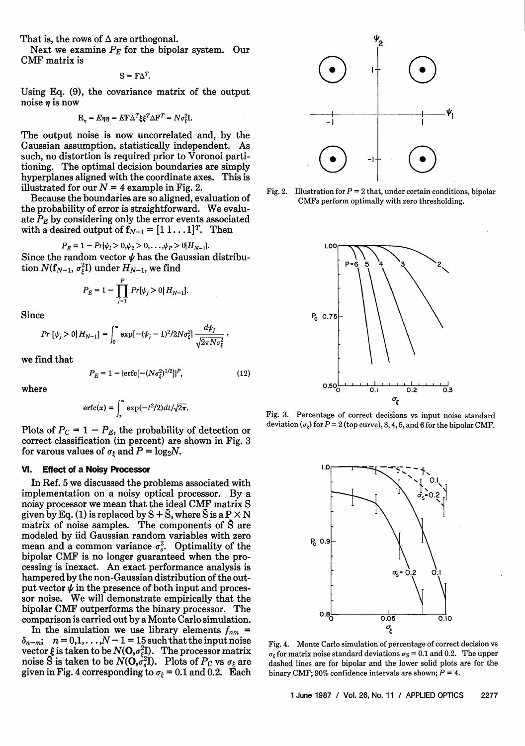That is, the rows of  $\Delta$  are orthogonal.

Next we examine  $P_E$  for the bipolar system. Our CMF matrix is

$$
S = F\Delta^T.
$$

Using Eq. (9), the covariance matrix of the output noise  $\eta$  is now

$$
\mathbf{R}_{\eta} = E \eta \eta = E \mathbf{F} \Delta^T \xi \xi^T \Delta \mathbf{F}^T = N \sigma_{\xi}^2 \mathbf{I}.
$$

The output noise is now uncorrelated and, by the Gaussian assumption, statistically independent. As such, no distortion is required prior to Voronoi partitioning. The optimal decision boundaries are simply hyperplanes aligned with the coordinate axes. This is illustrated for our  $N = 4$  example in Fig. 2.

Because the boundaries are so aligned, evaluation of the probability of error is straightforward. We evaluate  $P_E$  by considering only the error events associated with a desired output of  $f_{N-1} = [1 \ 1 \dots 1]^T$ . Then

$$
P_E = 1 - Pr{\psi_1 > 0, \psi_2 > 0, \dots, \psi_P > 0} H_{N-1}.
$$

Since the random vector  $\psi$  has the Gaussian distribution  $N(f_{N-1}, \sigma_\xi^2 I)$  under  $H_{N-1}$ , we find

$$
P_E = 1 - \prod_{j=1}^{P} Pr[\psi_j > 0 | H_{N-1}].
$$

Since

$$
Pr\left[\psi_j > 0 | H_{N-1}\right] = \int_0^\infty \exp[-(\psi_j - 1)^2 / 2N\sigma_\xi^2] \frac{d\psi_j}{\sqrt{2\pi N\sigma_\xi^2}} \,,
$$

we find that

$$
P_E = 1 - \{\text{erfc}[-(N\sigma_{\xi}^2)^{1/2}]\}^P, \tag{12}
$$

where

$$
\text{erfc}(x) = \int_x^{\infty} \exp(-t^2/2) dt / \sqrt{2\pi}.
$$

Plots of  $P_C = 1 - P_E$ , the probability of detection or correct classification (in percent) are shown in Fig. 3 for varous values of  $\sigma_{\xi}$  and  $P = \log_2 N$ .

# **VI. Effect of** a **Noisy Processor**

In Ref. 5 we discussed the problems associated with implementation on a noisy optical processor. By a noisy processor we mean that the ideal CMF matrix S given by Eq. (1) is replaced by  $S + \tilde{S}$ , where  $\tilde{S}$  is a  $P \times N$ matrix of noise samples. The components of S are modeled by iid Gaussian random variables with zero mean and a common variance  $\sigma_s^2$ . Optimality of the bipolar CMF is no longer guaranteed when the processing is inexact. An exact performance analysis is hampered by the non-Gaussian distribution of the output vector  $\psi$  in the presence of both input and processor noise. We will demonstrate empirically that the bipolar CMF outperforms the binary processor. The

comparison is carried out by a Monte Carlo simulation.<br>In the simulation we use library elements  $f_{nm}$  =  $\delta_{n-m}$ ;  $n = 0,1,\ldots, N-1 = 15$  such that the input noise vector  $\xi$  is taken to be  $N({\bf O},\sigma_{\varepsilon}^2{\bf I}).\ \ \hbox{The processor matrix}$ noise  $\tilde{\mathbf{S}}$  is taken to be  $N(\mathbf{O},\!sigma_s^2\mathbf{I}).\ \ \text{Plots of } P_C \text{ vs } \sigma_\xi \text{ are }$ given in Fig. 4 corresponding to  $\sigma_{\xi} = 0.1$  and 0.2. Each



Fig. 2. Illustration for  $P = 2$  that, under certain conditions, bipolar CMFs perform optimally with zero thresholding.



Fig. 3. Percentage of correct decisions vs input noise standard deviation  $(\sigma_{\xi})$  for  $P = 2$  (top curve), 3, 4, 5, and 6 for the bipolar CMF.



Fig. 4. Monte Carlo simulation of percentage of correct decision vs  $\sigma_{\xi}$  for matrix noise standard deviations  $\sigma_{S} = 0.1$  and 0.2. The upper dashed lines are for bipolar and the lower solid plots are for the binary CMF; 90% confidence intervals are shown;  $P = 4$ .